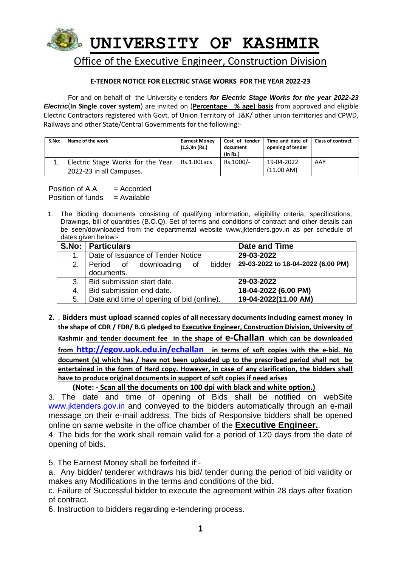

### **E-TENDER NOTICE FOR ELECTRIC STAGE WORKS FOR THE YEAR 2022-23**

For and on behalf of the University e-tenders *for Electric Stage Works for the year 2022-23 Electric*(**In Single cover system**) are invited on (**Percentage % age) basis** from approved and eligible Electric Contractors registered with Govt. of Union Territory of J&K/ other union territories and CPWD, Railways and other State/Central Governments for the following:-

| S.No: | Name of the work                                              | <b>Earnest Money</b><br>(L.S.)In (Rs.) | Cost of tender<br>document<br>$($ ln Rs. $)$ | Time and date of I<br>opening of tender | <b>Class of contract</b> |
|-------|---------------------------------------------------------------|----------------------------------------|----------------------------------------------|-----------------------------------------|--------------------------|
|       | Electric Stage Works for the Year<br>2022-23 in all Campuses. | Rs.1.00Lacs                            | Rs.1000/-                                    | 19-04-2022<br>(11.00 AM)                | AAY                      |

Position of  $A.A = Accorted$ Position of funds  $=$  Available

1. The Bidding documents consisting of qualifying information, eligibility criteria, specifications, Drawings, bill of quantities (B.O.Q), Set of terms and conditions of contract and other details can be seen/downloaded from the departmental website www.jktenders.gov.in as per schedule of dates given below:-

|    | S.No:   Particulars                       | Date and Time                      |
|----|-------------------------------------------|------------------------------------|
| 1. | Date of Issuance of Tender Notice         | 29-03-2022                         |
| 2. | bidder<br>Period of downloading of        | 29-03-2022 to 18-04-2022 (6.00 PM) |
|    | documents.                                |                                    |
| 3. | Bid submission start date.                | 29-03-2022                         |
| 4. | Bid submission end date.                  | 18-04-2022 (6.00 PM)               |
| 5. | Date and time of opening of bid (online). | 19-04-2022(11.00 AM)               |

**2.** . **Bidders must upload scanned copies of all necessary documents including earnest money in the shape of CDR / FDR/ B.G pledged to Executive Engineer, Construction Division, University of Kashmir and tender document fee in the shape of e-Challan which can be downloaded from <http://egov.uok.edu.in/echallan> in terms of soft copies with the e-bid. No document (s) which has / have not been uploaded up to the prescribed period shall not be entertained in the form of Hard copy. However, in case of any clarification, the bidders shall have to produce original documents in support of soft copies if need arises**

### **(Note: - Scan all the documents on 100 dpi with black and white option.)**

3. The date and time of opening of Bids shall be notified on webSite www.jktenders.gov.in and conveyed to the bidders automatically through an e-mail message on their e-mail address. The bids of Responsive bidders shall be opened online on same website in the office chamber of the **Executive Engineer.**.

4. The bids for the work shall remain valid for a period of 120 days from the date of opening of bids.

5. The Earnest Money shall be forfeited if:-

a. Any bidder/ tenderer withdraws his bid/ tender during the period of bid validity or makes any Modifications in the terms and conditions of the bid.

c. Failure of Successful bidder to execute the agreement within 28 days after fixation of contract.

6. Instruction to bidders regarding e-tendering process.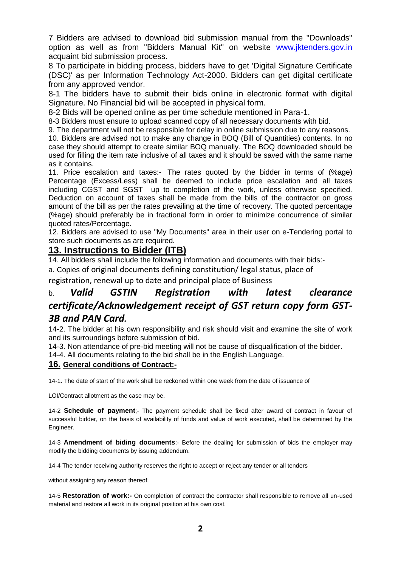7 Bidders are advised to download bid submission manual from the "Downloads" option as well as from "Bidders Manual Kit" on website www.jktenders.gov.in acquaint bid submission process.

8 To participate in bidding process, bidders have to get 'Digital Signature Certificate (DSC)' as per Information Technology Act-2000. Bidders can get digital certificate from any approved vendor.

8-1 The bidders have to submit their bids online in electronic format with digital Signature. No Financial bid will be accepted in physical form.

8-2 Bids will be opened online as per time schedule mentioned in Para-1.

8-3 Bidders must ensure to upload scanned copy of all necessary documents with bid.

9. The department will not be responsible for delay in online submission due to any reasons.

10. Bidders are advised not to make any change in BOQ (Bill of Quantities) contents. In no case they should attempt to create similar BOQ manually. The BOQ downloaded should be used for filling the item rate inclusive of all taxes and it should be saved with the same name as it contains.

11. Price escalation and taxes:- The rates quoted by the bidder in terms of (%age) Percentage (Excess/Less) shall be deemed to include price escalation and all taxes including CGST and SGST up to completion of the work, unless otherwise specified. Deduction on account of taxes shall be made from the bills of the contractor on gross amount of the bill as per the rates prevailing at the time of recovery. The quoted percentage (%age) should preferably be in fractional form in order to minimize concurrence of similar quoted rates/Percentage.

12. Bidders are advised to use "My Documents" area in their user on e-Tendering portal to store such documents as are required.

## **13. Instructions to Bidder (ITB)**

14. All bidders shall include the following information and documents with their bids:-

a. Copies of original documents defining constitution/ legal status, place of

registration, renewal up to date and principal place of Business

# b. *Valid GSTIN Registration with latest clearance certificate/Acknowledgement receipt of GST return copy form GST-3B and PAN Card.*

14-2. The bidder at his own responsibility and risk should visit and examine the site of work and its surroundings before submission of bid.

14-3. Non attendance of pre-bid meeting will not be cause of disqualification of the bidder.

14-4. All documents relating to the bid shall be in the English Language.

### **16. General conditions of Contract:-**

14-1. The date of start of the work shall be reckoned within one week from the date of issuance of

LOI/Contract allotment as the case may be.

14-2 **Schedule of payment**;- The payment schedule shall be fixed after award of contract in favour of successful bidder, on the basis of availability of funds and value of work executed, shall be determined by the Engineer.

14-3 **Amendment of biding documents**:- Before the dealing for submission of bids the employer may modify the bidding documents by issuing addendum.

14-4 The tender receiving authority reserves the right to accept or reject any tender or all tenders

without assigning any reason thereof.

14-5 **Restoration of work:-** On completion of contract the contractor shall responsible to remove all un-used material and restore all work in its original position at his own cost.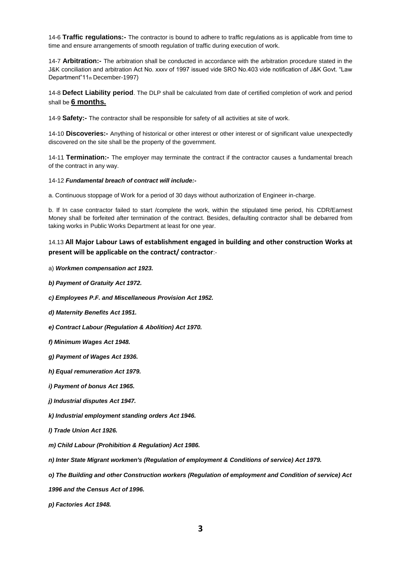14-6 **Traffic regulations:-** The contractor is bound to adhere to traffic regulations as is applicable from time to time and ensure arrangements of smooth regulation of traffic during execution of work.

14-7 **Arbitration:-** The arbitration shall be conducted in accordance with the arbitration procedure stated in the J&K conciliation and arbitration Act No. xxxv of 1997 issued vide SRO No.403 vide notification of J&K Govt. "Law Department"11th December-1997)

14-8 **Defect Liability period**. The DLP shall be calculated from date of certified completion of work and period shall be **6 months.**

14-9 **Safety:-** The contractor shall be responsible for safety of all activities at site of work.

14-10 **Discoveries:-** Anything of historical or other interest or other interest or of significant value unexpectedly discovered on the site shall be the property of the government.

14-11 **Termination:-** The employer may terminate the contract if the contractor causes a fundamental breach of the contract in any way.

14-12 *Fundamental breach of contract will include:-*

a. Continuous stoppage of Work for a period of 30 days without authorization of Engineer in-charge.

b. If In case contractor failed to start /complete the work, within the stipulated time period, his CDR/Earnest Money shall be forfeited after termination of the contract. Besides, defaulting contractor shall be debarred from taking works in Public Works Department at least for one year.

### 14.13 **All Major Labour Laws of establishment engaged in building and other construction Works at present will be applicable on the contract/ contractor:-**

- a) *Workmen compensation act 1923.*
- *b) Payment of Gratuity Act 1972.*
- *c) Employees P.F. and Miscellaneous Provision Act 1952.*
- *d) Maternity Benefits Act 1951.*
- *e) Contract Labour (Regulation & Abolition) Act 1970.*
- *f) Minimum Wages Act 1948.*
- *g) Payment of Wages Act 1936.*
- *h) Equal remuneration Act 1979.*
- *i) Payment of bonus Act 1965.*
- *j) Industrial disputes Act 1947.*
- *k) Industrial employment standing orders Act 1946.*
- *l) Trade Union Act 1926.*
- *m) Child Labour (Prohibition & Regulation) Act 1986.*
- *n) Inter State Migrant workmen's (Regulation of employment & Conditions of service) Act 1979.*
- *o) The Building and other Construction workers (Regulation of employment and Condition of service) Act*
- *1996 and the Census Act of 1996.*
- *p) Factories Act 1948.*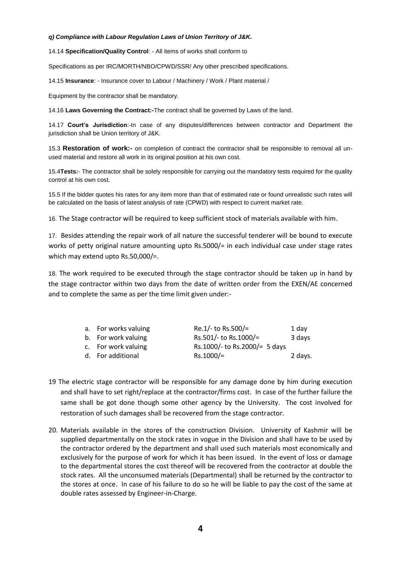#### *q) Compliance with Labour Regulation Laws of Union Territory of J&K.*

14.14 **Specification/Quality Control**: - All items of works shall conform to

Specifications as per IRC/MORTH/NBO/CPWD/SSR/ Any other prescribed specifications.

14.15 **Insurance**: - Insurance cover to Labour / Machinery / Work / Plant material /

Equipment by the contractor shall be mandatory.

14.16 **Laws Governing the Contract:-**The contract shall be governed by Laws of the land.

14.17 **Court's Jurisdiction**:-In case of any disputes/differences between contractor and Department the jurisdiction shall be Union territory of J&K.

15.3 **Restoration of work:-** on completion of contract the contractor shall be responsible to removal all unused material and restore all work in its original position at his own cost.

15.4**Tests:**- The contractor shall be solely responsible for carrying out the mandatory tests required for the quality control at his own cost.

15.5 If the bidder quotes his rates for any item more than that of estimated rate or found unrealistic such rates will be calculated on the basis of latest analysis of rate (CPWD) with respect to current market rate.

16. The Stage contractor will be required to keep sufficient stock of materials available with him.

17. Besides attending the repair work of all nature the successful tenderer will be bound to execute works of petty original nature amounting upto Rs.5000/= in each individual case under stage rates which may extend upto Rs.50,000/=.

18. The work required to be executed through the stage contractor should be taken up in hand by the stage contractor within two days from the date of written order from the EXEN/AE concerned and to complete the same as per the time limit given under:-

| a. For works valuing | Re.1/- to Rs.500/=            | 1 day   |
|----------------------|-------------------------------|---------|
| b. For work valuing  | Rs.501/- to Rs.1000/=         | 3 days  |
| c. For work valuing  | Rs.1000/- to Rs.2000/= 5 days |         |
| d. For additional    | $Rs.1000/=$                   | 2 days. |

- 19 The electric stage contractor will be responsible for any damage done by him during execution and shall have to set right/replace at the contractor/firms cost. In case of the further failure the same shall be got done though some other agency by the University. The cost involved for restoration of such damages shall be recovered from the stage contractor.
- 20. Materials available in the stores of the construction Division. University of Kashmir will be supplied departmentally on the stock rates in vogue in the Division and shall have to be used by the contractor ordered by the department and shall used such materials most economically and exclusively for the purpose of work for which it has been issued. In the event of loss or damage to the departmental stores the cost thereof will be recovered from the contractor at double the stock rates. All the unconsumed materials (Departmental) shall be returned by the contractor to the stores at once. In case of his failure to do so he will be liable to pay the cost of the same at double rates assessed by Engineer-in-Charge.